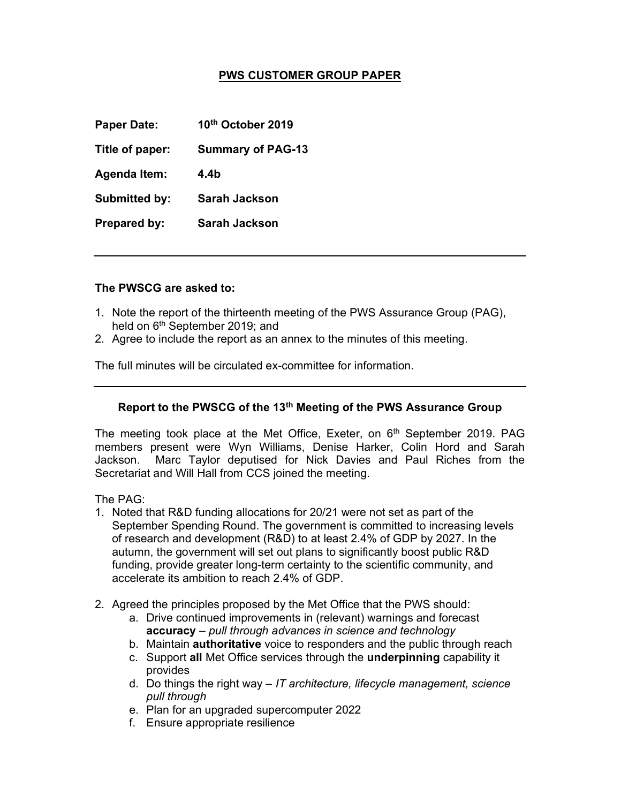## PWS CUSTOMER GROUP PAPER

Paper Date: 10<sup>th</sup> October 2019

Title of paper: Summary of PAG-13

Agenda Item: 4.4b

Submitted by: Sarah Jackson

Prepared by: Sarah Jackson

## The PWSCG are asked to:

- 1. Note the report of the thirteenth meeting of the PWS Assurance Group (PAG), held on 6<sup>th</sup> September 2019; and
- 2. Agree to include the report as an annex to the minutes of this meeting.

The full minutes will be circulated ex-committee for information.

## Report to the PWSCG of the 13<sup>th</sup> Meeting of the PWS Assurance Group

The meeting took place at the Met Office, Exeter, on  $6<sup>th</sup>$  September 2019. PAG members present were Wyn Williams, Denise Harker, Colin Hord and Sarah Jackson. Marc Taylor deputised for Nick Davies and Paul Riches from the Secretariat and Will Hall from CCS joined the meeting.

The PAG:

- 1. Noted that R&D funding allocations for 20/21 were not set as part of the September Spending Round. The government is committed to increasing levels of research and development (R&D) to at least 2.4% of GDP by 2027. In the autumn, the government will set out plans to significantly boost public R&D funding, provide greater long-term certainty to the scientific community, and accelerate its ambition to reach 2.4% of GDP.
- 2. Agreed the principles proposed by the Met Office that the PWS should:
	- a. Drive continued improvements in (relevant) warnings and forecast accuracy – pull through advances in science and technology
	- b. Maintain authoritative voice to responders and the public through reach
	- c. Support all Met Office services through the underpinning capability it provides
	- d. Do things the right way  $-IT$  architecture, lifecycle management, science pull through
	- e. Plan for an upgraded supercomputer 2022
	- f. Ensure appropriate resilience